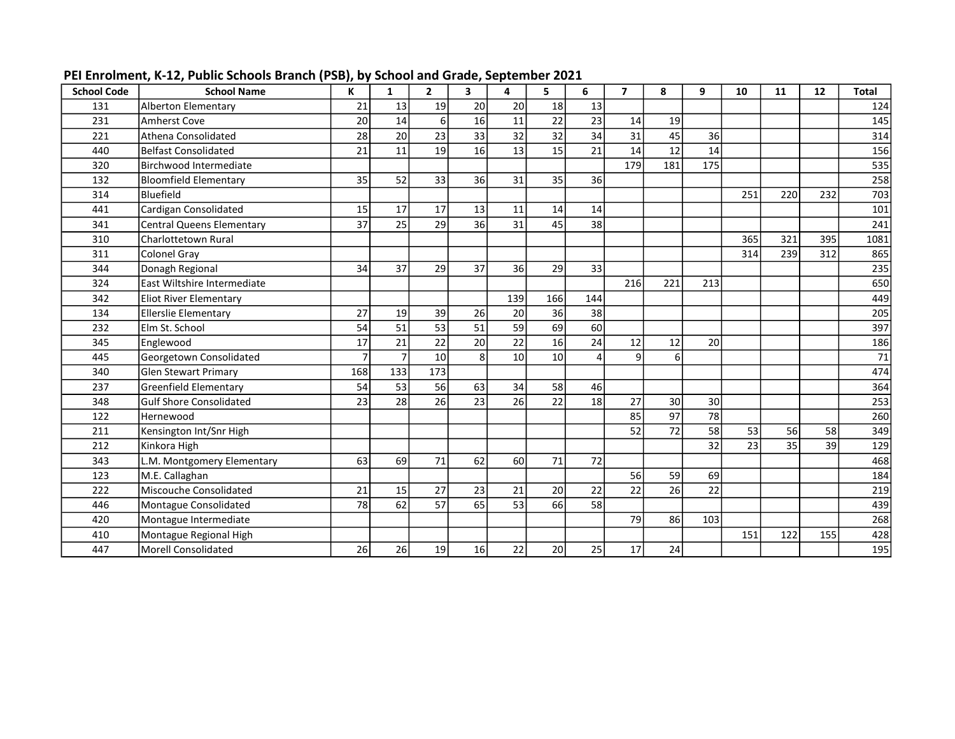| <b>School Code</b> | <b>School Name</b>             | K   | 1   | $\mathbf{2}$    | 3  | 4               | 5   | 6   | $\overline{\mathbf{z}}$ | 8               | 9   | 10  | 11  | 12  | <b>Total</b> |
|--------------------|--------------------------------|-----|-----|-----------------|----|-----------------|-----|-----|-------------------------|-----------------|-----|-----|-----|-----|--------------|
| 131                | Alberton Elementary            | 21  | 13  | 19              | 20 | 20              | 18  | 13  |                         |                 |     |     |     |     | 124          |
| 231                | Amherst Cove                   | 20  | 14  | $6 \mid$        | 16 | 11              | 22  | 23  | 14                      | 19              |     |     |     |     | 145          |
| 221                | Athena Consolidated            | 28  | 20  | 23              | 33 | 32              | 32  | 34  | 31                      | 45              | 36  |     |     |     | 314          |
| 440                | Belfast Consolidated           | 21  | 11  | $\overline{19}$ | 16 | 13              | 15  | 21  | 14                      | 12              | 14  |     |     |     | 156          |
| 320                | Birchwood Intermediate         |     |     |                 |    |                 |     |     | 179                     | 181             | 175 |     |     |     | 535          |
| 132                | Bloomfield Elementary          | 35  | 52  | 33              | 36 | 31              | 35  | 36  |                         |                 |     |     |     |     | 258          |
| 314                | Bluefield                      |     |     |                 |    |                 |     |     |                         |                 |     | 251 | 220 | 232 | 703          |
| 441                | Cardigan Consolidated          | 15  | 17  | 17              | 13 | 11              | 14  | 14  |                         |                 |     |     |     |     | 101          |
| 341                | Central Queens Elementary      | 37  | 25  | 29              | 36 | 31              | 45  | 38  |                         |                 |     |     |     |     | 241          |
| 310                | Charlottetown Rural            |     |     |                 |    |                 |     |     |                         |                 |     | 365 | 321 | 395 | 1081         |
| 311                | Colonel Gray                   |     |     |                 |    |                 |     |     |                         |                 |     | 314 | 239 | 312 | 865          |
| 344                | Donagh Regional                | 34  | 37  | 29              | 37 | 36              | 29  | 33  |                         |                 |     |     |     |     | 235          |
| 324                | East Wiltshire Intermediate    |     |     |                 |    |                 |     |     | 216                     | 221             | 213 |     |     |     | 650          |
| 342                | <b>Eliot River Elementary</b>  |     |     |                 |    | 139             | 166 | 144 |                         |                 |     |     |     |     | 449          |
| 134                | Ellerslie Elementary           | 27  | 19  | 39              | 26 | 20              | 36  | 38  |                         |                 |     |     |     |     | 205          |
| 232                | Elm St. School                 | 54  | 51  | 53              | 51 | 59              | 69  | 60  |                         |                 |     |     |     |     | 397          |
| 345                | Englewood                      | 17  | 21  | 22              | 20 | 22              | 16  | 24  | 12                      | 12              | 20  |     |     |     | 186          |
| 445                | Georgetown Consolidated        |     |     | 10              | 8  | 10 <sup>1</sup> | 10  | 4   | q                       | 6               |     |     |     |     | 71           |
| 340                | Glen Stewart Primary           | 168 | 133 | 173             |    |                 |     |     |                         |                 |     |     |     |     | 474          |
| 237                | Greenfield Elementary          | 54  | 53  | 56              | 63 | 34              | 58  | 46  |                         |                 |     |     |     |     | 364          |
| 348                | <b>Gulf Shore Consolidated</b> | 23  | 28  | 26              | 23 | 26              | 22  | 18  | 27                      | 30 <sup>1</sup> | 30  |     |     |     | 253          |
| 122                | Hernewood                      |     |     |                 |    |                 |     |     | 85                      | 97              | 78  |     |     |     | 260          |
| 211                | Kensington Int/Snr High        |     |     |                 |    |                 |     |     | 52                      | 72              | 58  | 53  | 56  | 58  | 349          |
| 212                | Kinkora High                   |     |     |                 |    |                 |     |     |                         |                 | 32  | 23  | 35  | 39  | 129          |
| 343                | L.M. Montgomery Elementary     | 63  | 69  | 71              | 62 | 60              | 71  | 72  |                         |                 |     |     |     |     | 468          |
| 123                | M.E. Callaghan                 |     |     |                 |    |                 |     |     | 56                      | 59              | 69  |     |     |     | 184          |
| 222                | Miscouche Consolidated         | 21  | 15  | 27              | 23 | 21              | 20  | 22  | 22                      | 26              | 22  |     |     |     | 219          |
| 446                | Montague Consolidated          | 78  | 62  | 57              | 65 | 53              | 66  | 58  |                         |                 |     |     |     |     | 439          |
| 420                | Montague Intermediate          |     |     |                 |    |                 |     |     | 79                      | 86              | 103 |     |     |     | 268          |
| 410                | Montague Regional High         |     |     |                 |    |                 |     |     |                         |                 |     | 151 | 122 | 155 | 428          |
| 447                | Morell Consolidated            | 26  | 26  | 19              | 16 | 22              | 20  | 25  | 17                      | 24              |     |     |     |     | 195          |

PEI Enrolment, K-12, Public Schools Branch (PSB), by School and Grade, September 2021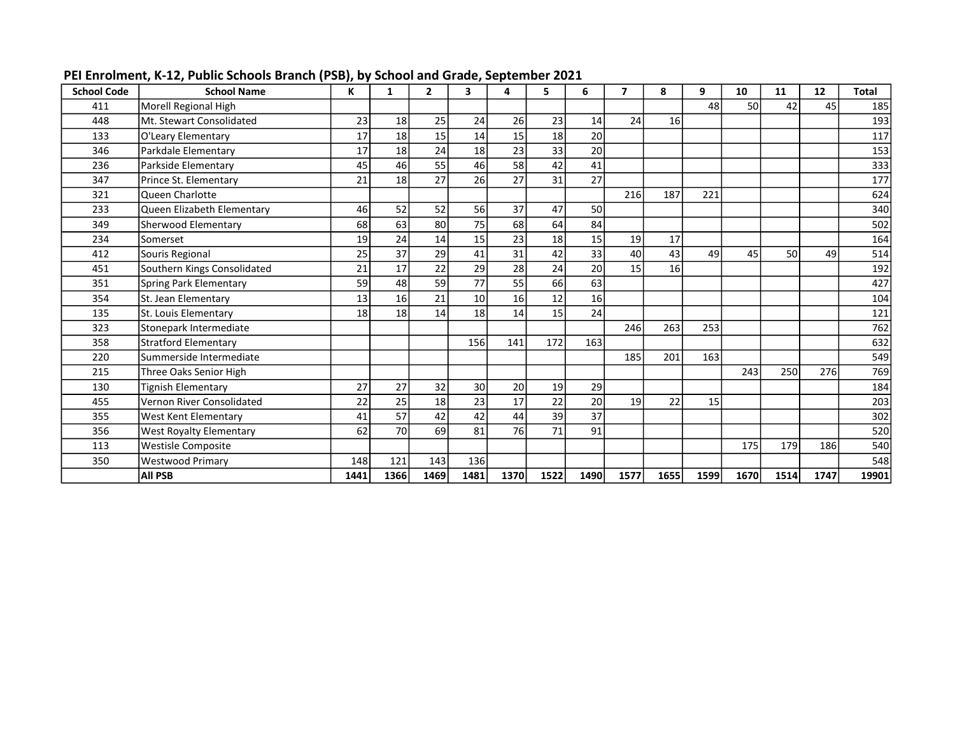| <b>School Code</b> | <b>School Name</b>             | K    | 1    | 2    | 3    | 4    | 5    | 6    | 7    | 8               | 9    | 10   | 11   | 12   | <b>Total</b> |
|--------------------|--------------------------------|------|------|------|------|------|------|------|------|-----------------|------|------|------|------|--------------|
| 411                | Morell Regional High           |      |      |      |      |      |      |      |      |                 | 48   | 50   | 42   | 45   | 185          |
| 448                | Mt. Stewart Consolidated       | 23   | 18   | 25   | 24   | 26   | 23   | 14   | 24   | 16 <sup>1</sup> |      |      |      |      | 193          |
| 133                | O'Leary Elementary             | 17   | 18   | 15   | 14   | 15   | 18   | 20   |      |                 |      |      |      |      | 117          |
| 346                | Parkdale Elementary            | 17   | 18   | 24   | 18   | 23   | 33   | 20   |      |                 |      |      |      |      | 153          |
| 236                | Parkside Elementary            | 45   | 46   | 55   | 46   | 58   | 42   | 41   |      |                 |      |      |      |      | 333          |
| 347                | Prince St. Elementary          | 21   | 18   | 27   | 26   | 27   | 31   | 27   |      |                 |      |      |      |      | 177          |
| 321                | Queen Charlotte                |      |      |      |      |      |      |      | 216  | 187             | 221  |      |      |      | 624          |
| 233                | Queen Elizabeth Elementary     | 46   | 52   | 52   | 56   | 37   | 47   | 50   |      |                 |      |      |      |      | 340          |
| 349                | Sherwood Elementary            | 68   | 63   | 80   | 75   | 68   | 64   | 84   |      |                 |      |      |      |      | 502          |
| 234                | Somerset                       | 19   | 24   | 14   | 15   | 23   | 18   | 15   | 19   | 17              |      |      |      |      | 164          |
| 412                | Souris Regional                | 25   | 37   | 29   | 41   | 31   | 42   | 33   | 40   | 43              | 49   | 45   | .50  | 49   | 514          |
| 451                | Southern Kings Consolidated    | 21   | 17   | 22   | 29   | 28   | 24   | 20   | 15   | 16              |      |      |      |      | 192          |
| 351                | Spring Park Elementary         | 59   | 48   | 59   | 77   | 55   | 66   | 63   |      |                 |      |      |      |      | 427          |
| 354                | St. Jean Elementary            | 13   | 16   | 21   | 10   | 16   | 12   | 16   |      |                 |      |      |      |      | 104          |
| 135                | St. Louis Elementarv           | 18   | 18   | 14   | 18   | 14   | 15   | 24   |      |                 |      |      |      |      | 121          |
| 323                | Stonepark Intermediate         |      |      |      |      |      |      |      | 246  | 263             | 253  |      |      |      | 762          |
| 358                | <b>Stratford Elementary</b>    |      |      |      | 156  | 141  | 172  | 163  |      |                 |      |      |      |      | 632          |
| 220                | Summerside Intermediate        |      |      |      |      |      |      |      | 185  | 201             | 163  |      |      |      | 549          |
| 215                | Three Oaks Senior High         |      |      |      |      |      |      |      |      |                 |      | 243  | 250  | 276  | 769          |
| 130                | Tignish Elementary             | 27   | 27   | 32   | 30   | 20   | 19   | 29   |      |                 |      |      |      |      | 184          |
| 455                | Vernon River Consolidated      | 22   | 25   | 18   | 23   | 17   | 22   | 20   | 19   | 22              | 15   |      |      |      | 203          |
| 355                | <b>West Kent Elementary</b>    | 41   | 57   | 42   | 42   | 44   | 39   | 37   |      |                 |      |      |      |      | 302          |
| 356                | <b>West Royalty Elementary</b> | 62   | 70   | 69   | 81   | 76   | 71   | 91   |      |                 |      |      |      |      | 520          |
| 113                | <b>Westisle Composite</b>      |      |      |      |      |      |      |      |      |                 |      | 175  | 179  | 186  | 540          |
| 350                | <b>Westwood Primary</b>        | 148  | 121  | 143  | 136  |      |      |      |      |                 |      |      |      |      | 548          |
|                    | <b>All PSB</b>                 | 1441 | 1366 | 1469 | 1481 | 1370 | 1522 | 1490 | 1577 | 1655            | 1599 | 1670 | 1514 | 1747 | 19901        |

PEI Enrolment, K-12, Public Schools Branch (PSB), by School and Grade, September 2021